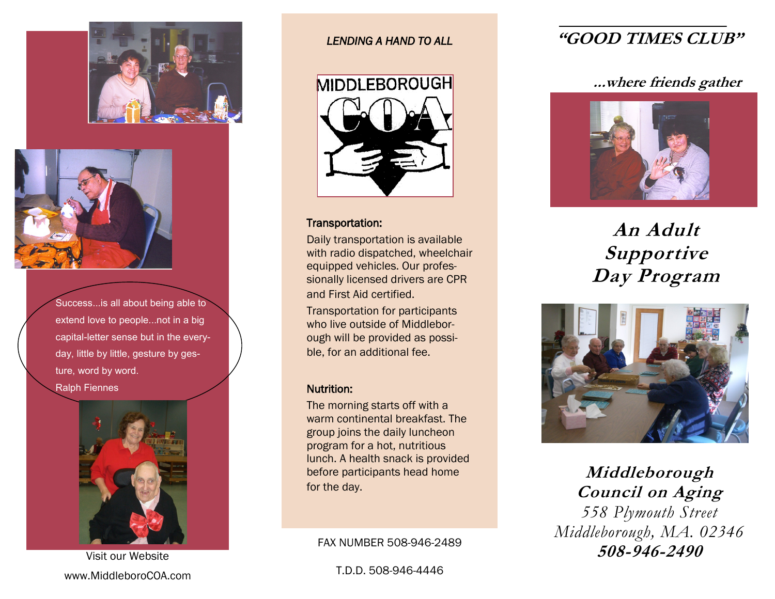



Success...is all about being able to extend love to people...not in a big capital-letter sense but in the everyday, little by little, gesture by gesture, word by word. Ralph Fiennes



Visit our Website www.MiddleboroCOA.com

### *LENDING A HAND TO ALL*



### Transportation:

Daily transportation is available with radio dispatched, wheelchair equipped vehicles. Our professionally licensed drivers are CPR and First Aid certified.

Transportation for participants who live outside of Middleborough will be provided as possible, for an additional fee.

### Nutrition:

The morning starts off with a warm continental breakfast. The group joins the daily luncheon program for a hot, nutritious lunch. A health snack is provided before participants head home for the day.

### FAX NUMBER 508-946-2489

T.D.D. 508-946-4446

# **"GOOD TIMES CLUB"**

## **...where friends gather**



**An Adult Supportive Day Program**



**Middleborough Council on Aging** *558 Plymouth Street Middleborough, MA. 02346* **508-946-2490**